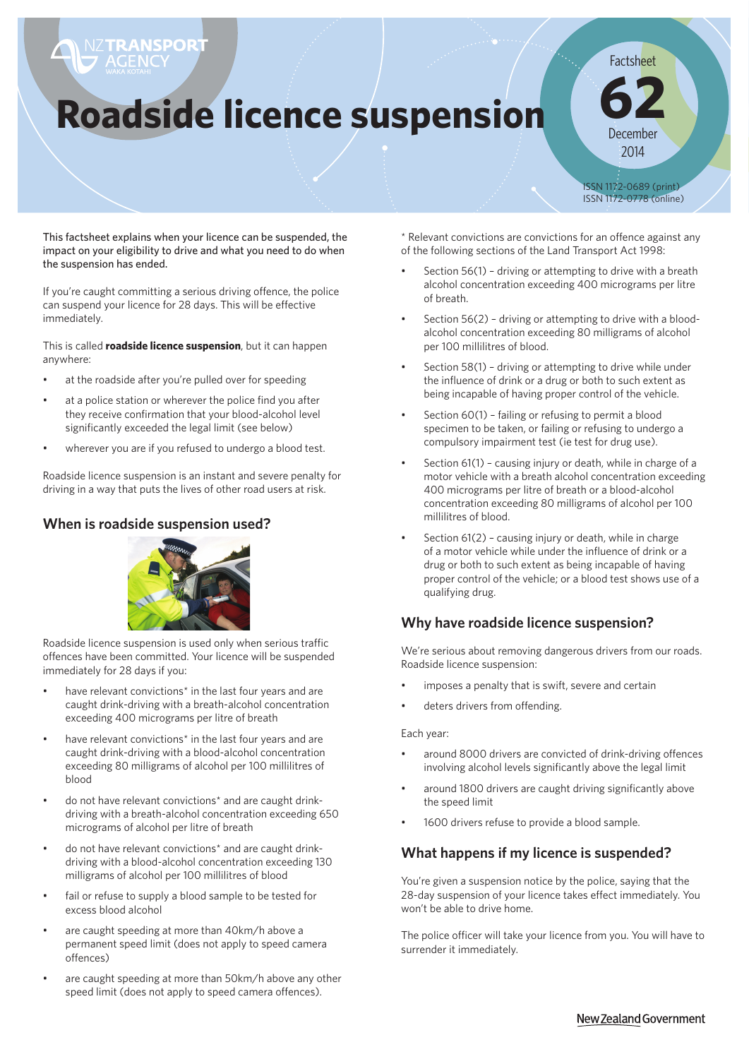# **Roadside licence suspension**

ISSN 1172-0689 (print) ISSN 1172-0778 (online)

Factsheet

**62**

December 2014

This factsheet explains when your licence can be suspended, the impact on your eligibility to drive and what you need to do when the suspension has ended.

If you're caught committing a serious driving offence, the police can suspend your licence for 28 days. This will be effective immediately.

This is called **roadside licence suspension**, but it can happen anywhere:

- at the roadside after you're pulled over for speeding
- at a police station or wherever the police find you after they receive confirmation that your blood-alcohol level significantly exceeded the legal limit (see below)
- wherever you are if you refused to undergo a blood test.

Roadside licence suspension is an instant and severe penalty for driving in a way that puts the lives of other road users at risk.

#### **When is roadside suspension used?**



Roadside licence suspension is used only when serious traffic offences have been committed. Your licence will be suspended immediately for 28 days if you:

- have relevant convictions<sup>\*</sup> in the last four years and are caught drink-driving with a breath-alcohol concentration exceeding 400 micrograms per litre of breath
- have relevant convictions<sup>\*</sup> in the last four years and are caught drink-driving with a blood-alcohol concentration exceeding 80 milligrams of alcohol per 100 millilitres of blood
- do not have relevant convictions\* and are caught drinkdriving with a breath-alcohol concentration exceeding 650 micrograms of alcohol per litre of breath
- do not have relevant convictions\* and are caught drinkdriving with a blood-alcohol concentration exceeding 130 milligrams of alcohol per 100 millilitres of blood
- fail or refuse to supply a blood sample to be tested for excess blood alcohol
- are caught speeding at more than 40km/h above a permanent speed limit (does not apply to speed camera offences)
- are caught speeding at more than 50km/h above any other speed limit (does not apply to speed camera offences).

\* Relevant convictions are convictions for an offence against any of the following sections of the Land Transport Act 1998:

- Section 56(1) driving or attempting to drive with a breath alcohol concentration exceeding 400 micrograms per litre of breath.
- Section 56(2) driving or attempting to drive with a bloodalcohol concentration exceeding 80 milligrams of alcohol per 100 millilitres of blood.
- Section 58(1) driving or attempting to drive while under the influence of drink or a drug or both to such extent as being incapable of having proper control of the vehicle.
- Section 60(1) failing or refusing to permit a blood specimen to be taken, or failing or refusing to undergo a compulsory impairment test (ie test for drug use).
- Section 61(1) causing injury or death, while in charge of a motor vehicle with a breath alcohol concentration exceeding 400 micrograms per litre of breath or a blood-alcohol concentration exceeding 80 milligrams of alcohol per 100 millilitres of blood.
- Section  $61(2)$  causing injury or death, while in charge of a motor vehicle while under the influence of drink or a drug or both to such extent as being incapable of having proper control of the vehicle; or a blood test shows use of a qualifying drug.

#### **Why have roadside licence suspension?**

We're serious about removing dangerous drivers from our roads. Roadside licence suspension:

- imposes a penalty that is swift, severe and certain
- deters drivers from offending.

Each year:

- around 8000 drivers are convicted of drink-driving offences involving alcohol levels significantly above the legal limit
- around 1800 drivers are caught driving significantly above the speed limit
- 1600 drivers refuse to provide a blood sample.

#### **What happens if my licence is suspended?**

You're given a suspension notice by the police, saying that the 28-day suspension of your licence takes effect immediately. You won't be able to drive home.

The police officer will take your licence from you. You will have to surrender it immediately.